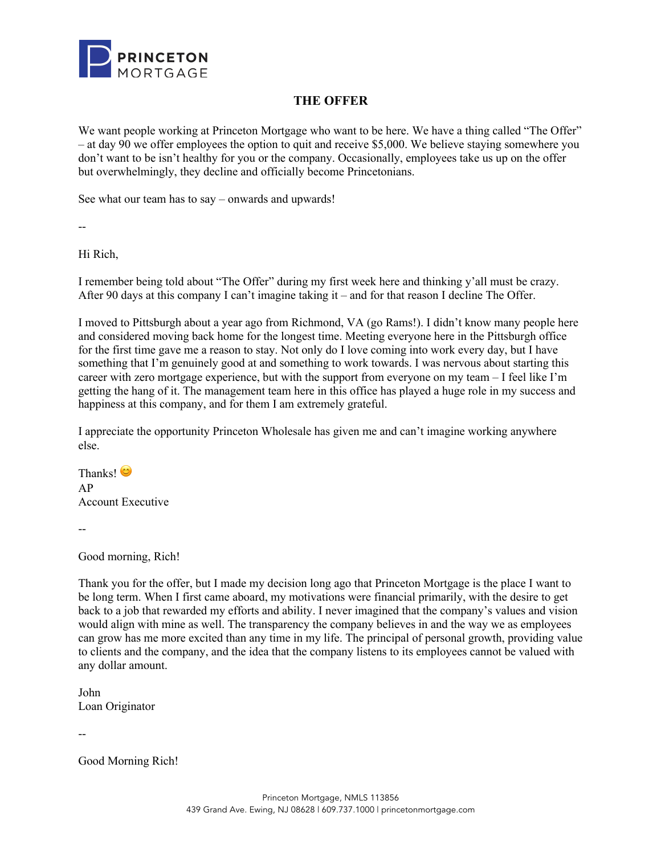

## **THE OFFER**

We want people working at Princeton Mortgage who want to be here. We have a thing called "The Offer" – at day 90 we offer employees the option to quit and receive \$5,000. We believe staying somewhere you don't want to be isn't healthy for you or the company. Occasionally, employees take us up on the offer but overwhelmingly, they decline and officially become Princetonians.

See what our team has to say – onwards and upwards!

--

Hi Rich,

I remember being told about "The Offer" during my first week here and thinking y'all must be crazy. After 90 days at this company I can't imagine taking it – and for that reason I decline The Offer.

I moved to Pittsburgh about a year ago from Richmond, VA (go Rams!). I didn't know many people here and considered moving back home for the longest time. Meeting everyone here in the Pittsburgh office for the first time gave me a reason to stay. Not only do I love coming into work every day, but I have something that I'm genuinely good at and something to work towards. I was nervous about starting this career with zero mortgage experience, but with the support from everyone on my team – I feel like I'm getting the hang of it. The management team here in this office has played a huge role in my success and happiness at this company, and for them I am extremely grateful.

I appreciate the opportunity Princeton Wholesale has given me and can't imagine working anywhere else.

Thanks! AP Account Executive

--

Good morning, Rich!

Thank you for the offer, but I made my decision long ago that Princeton Mortgage is the place I want to be long term. When I first came aboard, my motivations were financial primarily, with the desire to get back to a job that rewarded my efforts and ability. I never imagined that the company's values and vision would align with mine as well. The transparency the company believes in and the way we as employees can grow has me more excited than any time in my life. The principal of personal growth, providing value to clients and the company, and the idea that the company listens to its employees cannot be valued with any dollar amount.

John Loan Originator

--

Good Morning Rich!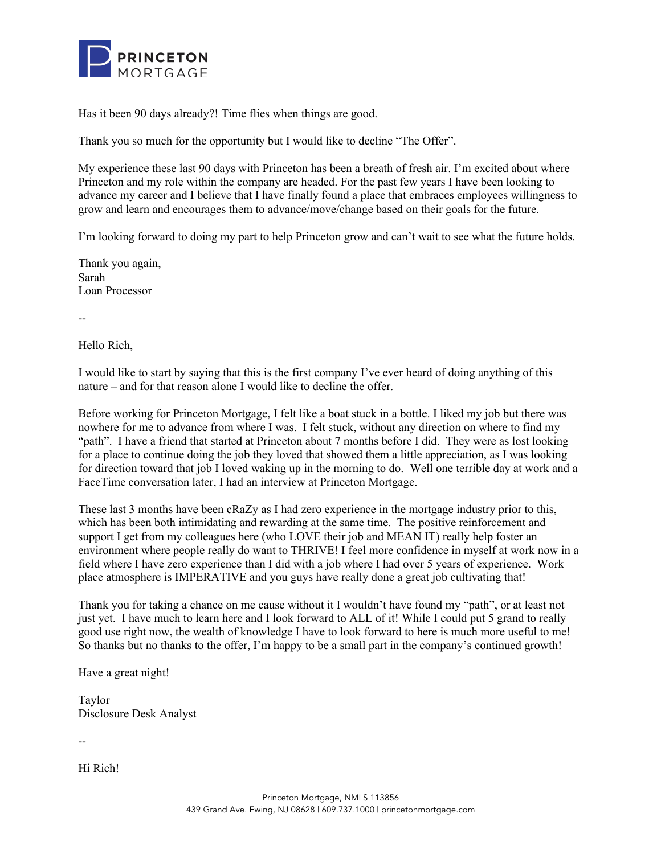

Has it been 90 days already?! Time flies when things are good.

Thank you so much for the opportunity but I would like to decline "The Offer".

My experience these last 90 days with Princeton has been a breath of fresh air. I'm excited about where Princeton and my role within the company are headed. For the past few years I have been looking to advance my career and I believe that I have finally found a place that embraces employees willingness to grow and learn and encourages them to advance/move/change based on their goals for the future.

I'm looking forward to doing my part to help Princeton grow and can't wait to see what the future holds.

Thank you again, Sarah Loan Processor

--

Hello Rich,

I would like to start by saying that this is the first company I've ever heard of doing anything of this nature – and for that reason alone I would like to decline the offer.

Before working for Princeton Mortgage, I felt like a boat stuck in a bottle. I liked my job but there was nowhere for me to advance from where I was. I felt stuck, without any direction on where to find my "path". I have a friend that started at Princeton about 7 months before I did. They were as lost looking for a place to continue doing the job they loved that showed them a little appreciation, as I was looking for direction toward that job I loved waking up in the morning to do. Well one terrible day at work and a FaceTime conversation later, I had an interview at Princeton Mortgage.

These last 3 months have been cRaZy as I had zero experience in the mortgage industry prior to this, which has been both intimidating and rewarding at the same time. The positive reinforcement and support I get from my colleagues here (who LOVE their job and MEAN IT) really help foster an environment where people really do want to THRIVE! I feel more confidence in myself at work now in a field where I have zero experience than I did with a job where I had over 5 years of experience. Work place atmosphere is IMPERATIVE and you guys have really done a great job cultivating that!

Thank you for taking a chance on me cause without it I wouldn't have found my "path", or at least not just yet. I have much to learn here and I look forward to ALL of it! While I could put 5 grand to really good use right now, the wealth of knowledge I have to look forward to here is much more useful to me! So thanks but no thanks to the offer, I'm happy to be a small part in the company's continued growth!

Have a great night!

Taylor Disclosure Desk Analyst

--

Hi Rich!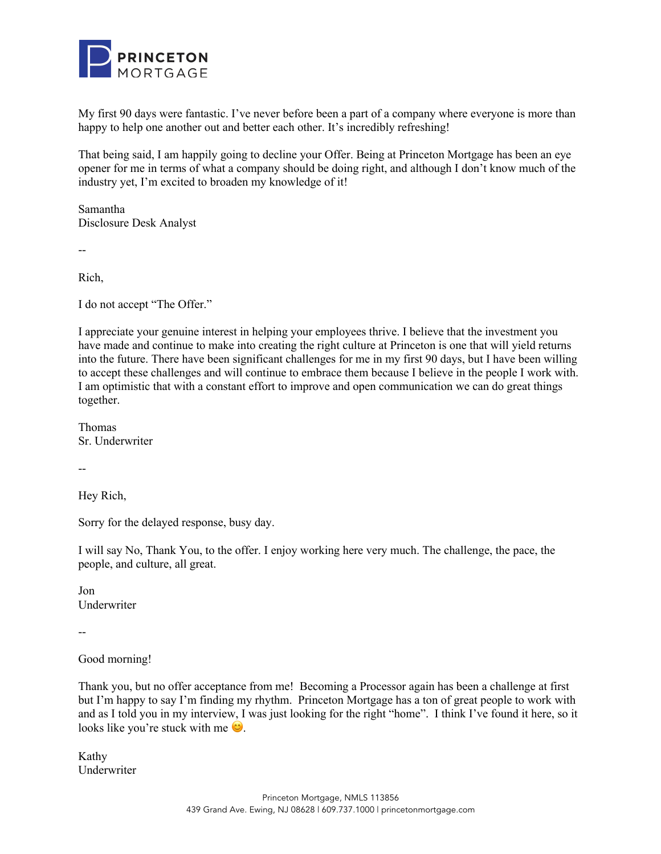

My first 90 days were fantastic. I've never before been a part of a company where everyone is more than happy to help one another out and better each other. It's incredibly refreshing!

That being said, I am happily going to decline your Offer. Being at Princeton Mortgage has been an eye opener for me in terms of what a company should be doing right, and although I don't know much of the industry yet, I'm excited to broaden my knowledge of it!

Samantha Disclosure Desk Analyst

--

Rich,

I do not accept "The Offer."

I appreciate your genuine interest in helping your employees thrive. I believe that the investment you have made and continue to make into creating the right culture at Princeton is one that will yield returns into the future. There have been significant challenges for me in my first 90 days, but I have been willing to accept these challenges and will continue to embrace them because I believe in the people I work with. I am optimistic that with a constant effort to improve and open communication we can do great things together.

Thomas Sr. Underwriter

--

Hey Rich,

Sorry for the delayed response, busy day.

I will say No, Thank You, to the offer. I enjoy working here very much. The challenge, the pace, the people, and culture, all great.

Jon Underwriter

--

Good morning!

Thank you, but no offer acceptance from me! Becoming a Processor again has been a challenge at first but I'm happy to say I'm finding my rhythm. Princeton Mortgage has a ton of great people to work with and as I told you in my interview, I was just looking for the right "home". I think I've found it here, so it looks like you're stuck with me  $\ddot{\bullet}$ .

Kathy Underwriter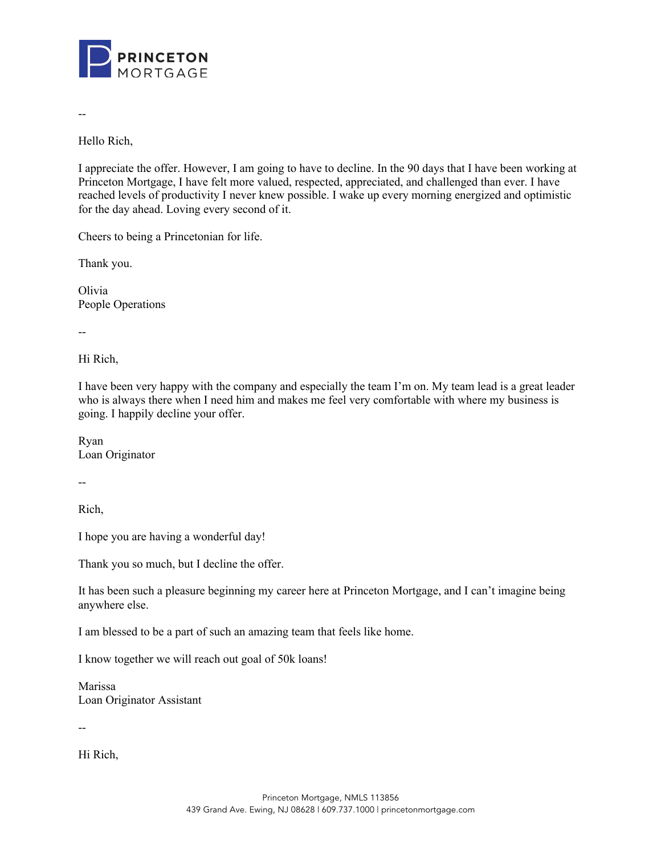

--

Hello Rich,

I appreciate the offer. However, I am going to have to decline. In the 90 days that I have been working at Princeton Mortgage, I have felt more valued, respected, appreciated, and challenged than ever. I have reached levels of productivity I never knew possible. I wake up every morning energized and optimistic for the day ahead. Loving every second of it.

Cheers to being a Princetonian for life.

Thank you.

Olivia People Operations

--

Hi Rich,

I have been very happy with the company and especially the team I'm on. My team lead is a great leader who is always there when I need him and makes me feel very comfortable with where my business is going. I happily decline your offer.

Ryan Loan Originator

--

Rich,

I hope you are having a wonderful day!

Thank you so much, but I decline the offer.

It has been such a pleasure beginning my career here at Princeton Mortgage, and I can't imagine being anywhere else.

I am blessed to be a part of such an amazing team that feels like home.

I know together we will reach out goal of 50k loans!

Marissa Loan Originator Assistant

--

Hi Rich,